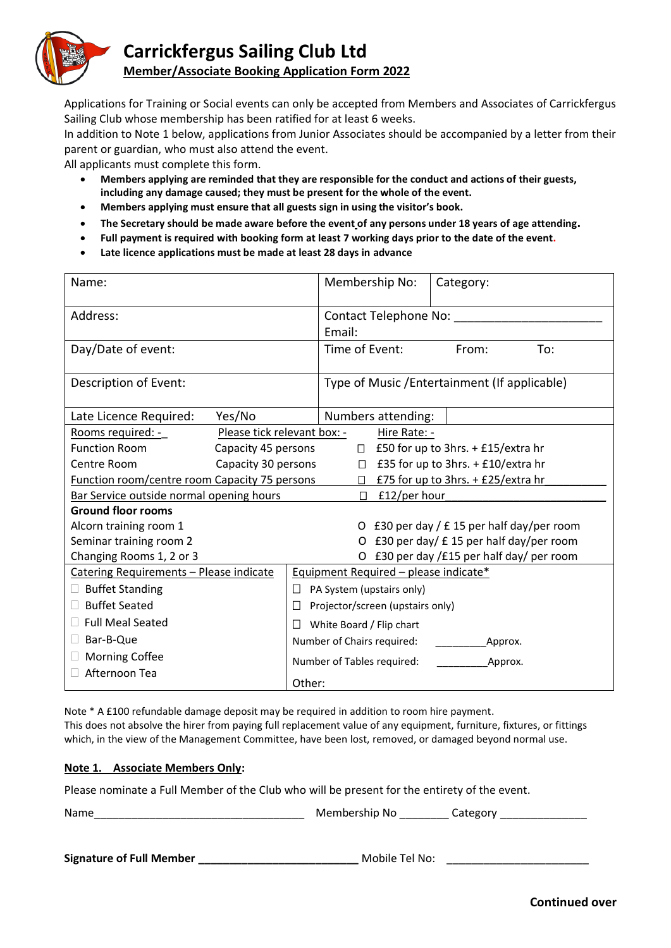

## **Carrickfergus Sailing Club Ltd**

## **Member/Associate Booking Application Form 2022**

Applications for Training or Social events can only be accepted from Members and Associates of Carrickfergus Sailing Club whose membership has been ratified for at least 6 weeks.

In addition to Note 1 below, applications from Junior Associates should be accompanied by a letter from their parent or guardian, who must also attend the event.

All applicants must complete this form.

- **Members applying are reminded that they are responsible for the conduct and actions of their guests, including any damage caused; they must be present for the whole of the event.**
- **Members applying must ensure that all guests sign in using the visitor's book.**
- **The Secretary should be made aware before the event of any persons under 18 years of age attending.**
- **Full payment is required with booking form at least 7 working days prior to the date of the event.**
- **Late licence applications must be made at least 28 days in advance**

| Name:                                                |                             |                                           | Membership No:                                |                    | Category:    |  |  |  |  |
|------------------------------------------------------|-----------------------------|-------------------------------------------|-----------------------------------------------|--------------------|--------------|--|--|--|--|
| Address:                                             |                             |                                           | <b>Contact Telephone No:</b>                  |                    |              |  |  |  |  |
|                                                      |                             |                                           | Email:                                        |                    |              |  |  |  |  |
| Day/Date of event:                                   |                             |                                           | Time of Event:                                | From:<br>To:       |              |  |  |  |  |
| Description of Event:                                |                             |                                           | Type of Music / Entertainment (If applicable) |                    |              |  |  |  |  |
| Late Licence Required:                               | Yes/No                      |                                           |                                               | Numbers attending: |              |  |  |  |  |
| Rooms required: -                                    | Please tick relevant box: - |                                           |                                               |                    | Hire Rate: - |  |  |  |  |
| <b>Function Room</b><br>Capacity 45 persons          |                             |                                           | $\Box$ £50 for up to 3hrs. + £15/extra hr     |                    |              |  |  |  |  |
| Centre Room<br>Capacity 30 persons                   |                             |                                           | £35 for up to 3hrs. + £10/extra hr<br>$\Box$  |                    |              |  |  |  |  |
| <b>Function room/centre room Capacity 75 persons</b> |                             |                                           | £75 for up to 3hrs. + £25/extra hr<br>П.      |                    |              |  |  |  |  |
| Bar Service outside normal opening hours             |                             |                                           | £12/per hour<br>П                             |                    |              |  |  |  |  |
| <b>Ground floor rooms</b>                            |                             |                                           |                                               |                    |              |  |  |  |  |
| Alcorn training room 1                               |                             |                                           | O £30 per day / £15 per half day/per room     |                    |              |  |  |  |  |
| Seminar training room 2                              |                             |                                           | £30 per day/ £15 per half day/per room        |                    |              |  |  |  |  |
| Changing Rooms 1, 2 or 3                             |                             | O £30 per day /£15 per half day/ per room |                                               |                    |              |  |  |  |  |
| Catering Requirements - Please indicate              |                             |                                           | Equipment Required - please indicate*         |                    |              |  |  |  |  |
| <b>Buffet Standing</b>                               |                             |                                           | PA System (upstairs only)                     |                    |              |  |  |  |  |
| <b>Buffet Seated</b>                                 |                             | Projector/screen (upstairs only)          |                                               |                    |              |  |  |  |  |
| <b>Full Meal Seated</b>                              |                             |                                           | White Board / Flip chart                      |                    |              |  |  |  |  |
| Bar-B-Que                                            |                             |                                           | Number of Chairs required:<br>Approx.         |                    |              |  |  |  |  |
| <b>Morning Coffee</b>                                |                             |                                           | Number of Tables required:<br>Approx.         |                    |              |  |  |  |  |
| Afternoon Tea                                        |                             |                                           | Other:                                        |                    |              |  |  |  |  |

Note \* A £100 refundable damage deposit may be required in addition to room hire payment. This does not absolve the hirer from paying full replacement value of any equipment, furniture, fixtures, or fittings which, in the view of the Management Committee, have been lost, removed, or damaged beyond normal use.

## **Note 1. Associate Members Only:**

Please nominate a Full Member of the Club who will be present for the entirety of the event.

Name\_\_\_\_\_\_\_\_\_\_\_\_\_\_\_\_\_\_\_\_\_\_\_\_\_\_\_\_\_\_\_\_\_\_ Membership No \_\_\_\_\_\_\_\_ Category \_\_\_\_\_\_\_\_\_\_\_\_\_\_

**Signature of Full Member \_\_\_\_\_\_\_\_\_\_\_\_\_\_\_\_\_\_\_\_\_\_\_\_\_\_** Mobile Tel No:\_\_\_\_\_\_\_\_\_\_\_\_\_\_\_\_\_\_\_\_\_\_\_

**Continued over**